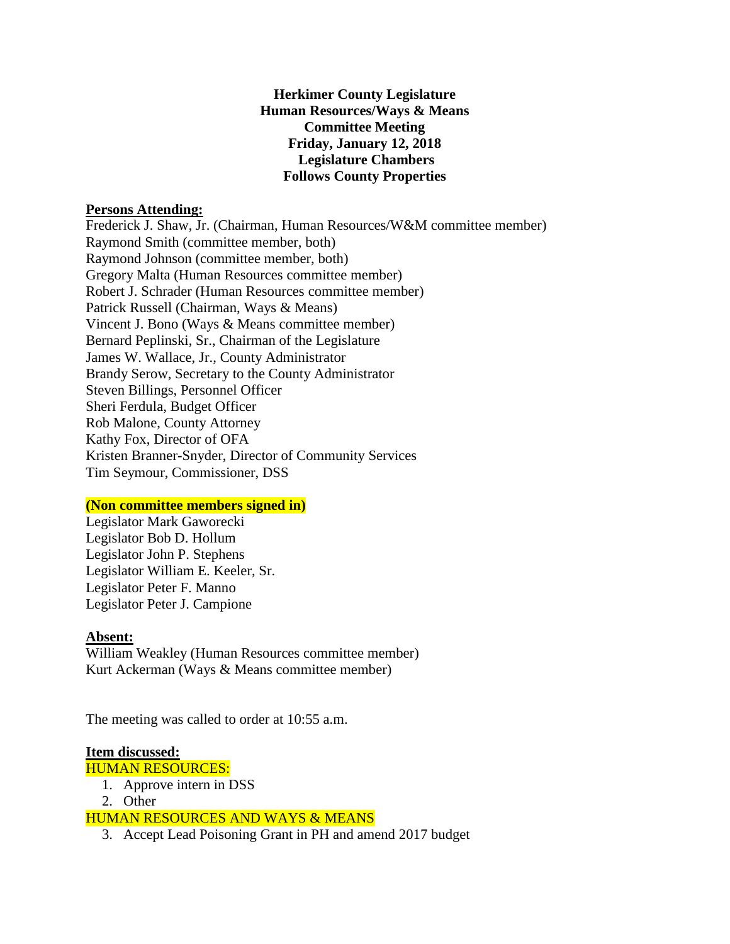**Herkimer County Legislature Human Resources/Ways & Means Committee Meeting Friday, January 12, 2018 Legislature Chambers Follows County Properties** 

### **Persons Attending:**

Frederick J. Shaw, Jr. (Chairman, Human Resources/W&M committee member) Raymond Smith (committee member, both) Raymond Johnson (committee member, both) Gregory Malta (Human Resources committee member) Robert J. Schrader (Human Resources committee member) Patrick Russell (Chairman, Ways & Means) Vincent J. Bono (Ways & Means committee member) Bernard Peplinski, Sr., Chairman of the Legislature James W. Wallace, Jr., County Administrator Brandy Serow, Secretary to the County Administrator Steven Billings, Personnel Officer Sheri Ferdula, Budget Officer Rob Malone, County Attorney Kathy Fox, Director of OFA Kristen Branner-Snyder, Director of Community Services Tim Seymour, Commissioner, DSS

# **(Non committee members signed in)**

Legislator Mark Gaworecki Legislator Bob D. Hollum Legislator John P. Stephens Legislator William E. Keeler, Sr. Legislator Peter F. Manno Legislator Peter J. Campione

#### **Absent:**

William Weakley (Human Resources committee member) Kurt Ackerman (Ways & Means committee member)

The meeting was called to order at 10:55 a.m.

### **Item discussed:**

- HUMAN RESOURCES:
	- 1. Approve intern in DSS
	- 2. Other

### HUMAN RESOURCES AND WAYS & MEANS

3. Accept Lead Poisoning Grant in PH and amend 2017 budget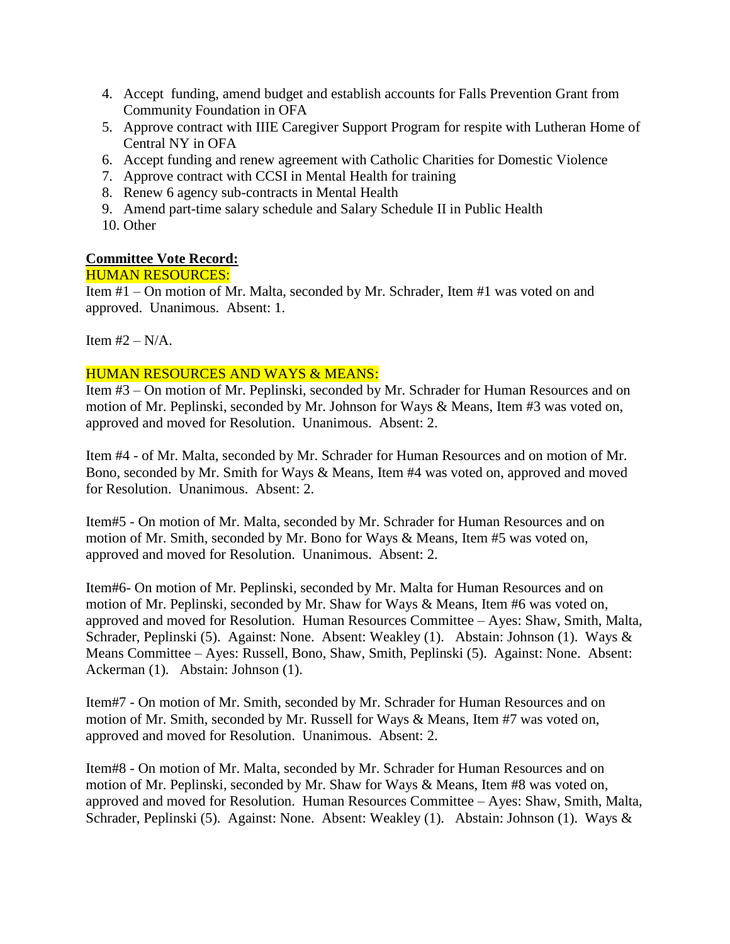- 4. Accept funding, amend budget and establish accounts for Falls Prevention Grant from Community Foundation in OFA
- 5. Approve contract with IIIE Caregiver Support Program for respite with Lutheran Home of Central NY in OFA
- 6. Accept funding and renew agreement with Catholic Charities for Domestic Violence
- 7. Approve contract with CCSI in Mental Health for training
- 8. Renew 6 agency sub-contracts in Mental Health
- 9. Amend part-time salary schedule and Salary Schedule II in Public Health
- 10. Other

# **Committee Vote Record:**

### HUMAN RESOURCES:

Item #1 – On motion of Mr. Malta, seconded by Mr. Schrader, Item #1 was voted on and approved. Unanimous. Absent: 1.

Item  $#2 - N/A$ .

### HUMAN RESOURCES AND WAYS & MEANS:

Item #3 – On motion of Mr. Peplinski, seconded by Mr. Schrader for Human Resources and on motion of Mr. Peplinski, seconded by Mr. Johnson for Ways & Means, Item #3 was voted on, approved and moved for Resolution. Unanimous. Absent: 2.

Item #4 - of Mr. Malta, seconded by Mr. Schrader for Human Resources and on motion of Mr. Bono, seconded by Mr. Smith for Ways & Means, Item #4 was voted on, approved and moved for Resolution. Unanimous. Absent: 2.

Item#5 - On motion of Mr. Malta, seconded by Mr. Schrader for Human Resources and on motion of Mr. Smith, seconded by Mr. Bono for Ways & Means, Item #5 was voted on, approved and moved for Resolution. Unanimous. Absent: 2.

Item#6- On motion of Mr. Peplinski, seconded by Mr. Malta for Human Resources and on motion of Mr. Peplinski, seconded by Mr. Shaw for Ways & Means, Item #6 was voted on, approved and moved for Resolution. Human Resources Committee – Ayes: Shaw, Smith, Malta, Schrader, Peplinski (5). Against: None. Absent: Weakley (1). Abstain: Johnson (1). Ways & Means Committee – Ayes: Russell, Bono, Shaw, Smith, Peplinski (5). Against: None. Absent: Ackerman (1). Abstain: Johnson (1).

Item#7 - On motion of Mr. Smith, seconded by Mr. Schrader for Human Resources and on motion of Mr. Smith, seconded by Mr. Russell for Ways & Means, Item #7 was voted on, approved and moved for Resolution. Unanimous. Absent: 2.

Item#8 - On motion of Mr. Malta, seconded by Mr. Schrader for Human Resources and on motion of Mr. Peplinski, seconded by Mr. Shaw for Ways & Means, Item #8 was voted on, approved and moved for Resolution. Human Resources Committee – Ayes: Shaw, Smith, Malta, Schrader, Peplinski (5). Against: None. Absent: Weakley (1). Abstain: Johnson (1). Ways &